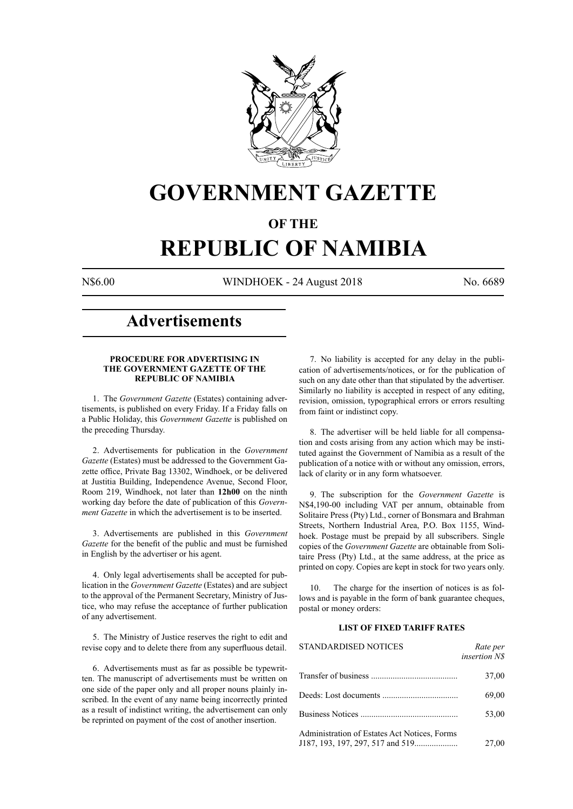

## **GOVERNMENT GAZETTE**

## **OF THE**

# **REPUBLIC OF NAMIBIA**

N\$6.00 WINDHOEK - 24 August 2018 No. 6689

## **Advertisements**

#### **PROCEDURE FOR ADVERTISING IN THE GOVERNMENT GAZETTE OF THE REPUBLIC OF NAMIBIA**

1. The *Government Gazette* (Estates) containing advertisements, is published on every Friday. If a Friday falls on a Public Holiday, this *Government Gazette* is published on the preceding Thursday.

2. Advertisements for publication in the *Government Gazette* (Estates) must be addressed to the Government Gazette office, Private Bag 13302, Windhoek, or be delivered at Justitia Building, Independence Avenue, Second Floor, Room 219, Windhoek, not later than **12h00** on the ninth working day before the date of publication of this *Government Gazette* in which the advertisement is to be inserted.

3. Advertisements are published in this *Government Gazette* for the benefit of the public and must be furnished in English by the advertiser or his agent.

4. Only legal advertisements shall be accepted for publication in the *Government Gazette* (Estates) and are subject to the approval of the Permanent Secretary, Ministry of Justice, who may refuse the acceptance of further publication of any advertisement.

5. The Ministry of Justice reserves the right to edit and revise copy and to delete there from any superfluous detail.

6. Advertisements must as far as possible be typewritten. The manuscript of advertisements must be written on one side of the paper only and all proper nouns plainly inscribed. In the event of any name being incorrectly printed as a result of indistinct writing, the advertisement can only be reprinted on payment of the cost of another insertion.

7. No liability is accepted for any delay in the publication of advertisements/notices, or for the publication of such on any date other than that stipulated by the advertiser. Similarly no liability is accepted in respect of any editing, revision, omission, typographical errors or errors resulting from faint or indistinct copy.

8. The advertiser will be held liable for all compensation and costs arising from any action which may be instituted against the Government of Namibia as a result of the publication of a notice with or without any omission, errors, lack of clarity or in any form whatsoever.

9. The subscription for the *Government Gazette* is N\$4,190-00 including VAT per annum, obtainable from Solitaire Press (Pty) Ltd., corner of Bonsmara and Brahman Streets, Northern Industrial Area, P.O. Box 1155, Windhoek. Postage must be prepaid by all subscribers. Single copies of the *Government Gazette* are obtainable from Solitaire Press (Pty) Ltd., at the same address, at the price as printed on copy. Copies are kept in stock for two years only.

10. The charge for the insertion of notices is as follows and is payable in the form of bank guarantee cheques, postal or money orders:

## **LIST OF FIXED TARIFF RATES**

| <b>STANDARDISED NOTICES</b>                  | Rate per<br><i>insertion NS</i> |
|----------------------------------------------|---------------------------------|
|                                              | 37,00                           |
|                                              | 69,00                           |
|                                              | 53,00                           |
| Administration of Estates Act Notices, Forms | 27,00                           |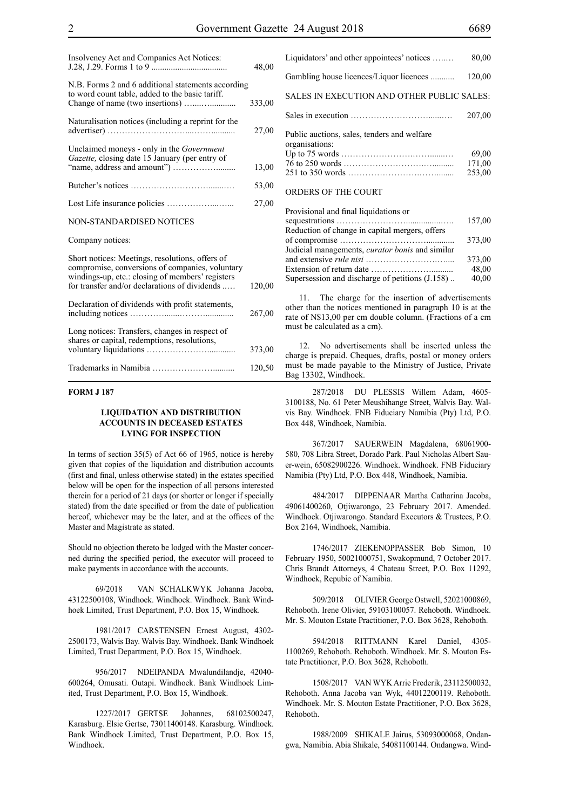| Insolvency Act and Companies Act Notices:                                                                                                                                                               | 48,00  |
|---------------------------------------------------------------------------------------------------------------------------------------------------------------------------------------------------------|--------|
| N.B. Forms 2 and 6 additional statements according<br>to word count table, added to the basic tariff.                                                                                                   | 333,00 |
| Naturalisation notices (including a reprint for the                                                                                                                                                     | 27,00  |
| Unclaimed moneys - only in the <i>Government</i><br>Gazette, closing date 15 January (per entry of                                                                                                      | 13,00  |
|                                                                                                                                                                                                         | 53,00  |
|                                                                                                                                                                                                         | 27,00  |
| NON-STANDARDISED NOTICES                                                                                                                                                                                |        |
| Company notices:                                                                                                                                                                                        |        |
| Short notices: Meetings, resolutions, offers of<br>compromise, conversions of companies, voluntary<br>windings-up, etc.: closing of members' registers<br>for transfer and/or declarations of dividends | 120,00 |
| Declaration of dividends with profit statements,                                                                                                                                                        | 267,00 |
| Long notices: Transfers, changes in respect of<br>shares or capital, redemptions, resolutions,                                                                                                          | 373,00 |
|                                                                                                                                                                                                         | 120,50 |

#### **FORM J 187**

#### **LIQUIDATION AND DISTRIBUTION ACCOUNTS IN DECEASED ESTATES LYING FOR INSPECTION**

In terms of section 35(5) of Act 66 of 1965, notice is hereby given that copies of the liquidation and distribution accounts (first and final, unless otherwise stated) in the estates specified below will be open for the inspection of all persons interested therein for a period of 21 days (or shorter or longer if specially stated) from the date specified or from the date of publication hereof, whichever may be the later, and at the offices of the Master and Magistrate as stated.

Should no objection thereto be lodged with the Master concerned during the specified period, the executor will proceed to make payments in accordance with the accounts.

69/2018 VAN SCHALKWYK Johanna Jacoba, 43122500108, Windhoek. Windhoek. Windhoek. Bank Windhoek Limited, Trust Department, P.O. Box 15, Windhoek.

1981/2017 CARSTENSEN Ernest August, 4302- 2500173, Walvis Bay. Walvis Bay. Windhoek. Bank Windhoek Limited, Trust Department, P.O. Box 15, Windhoek.

956/2017 NDEIPANDA Mwalundilandje, 42040- 600264, Omusati. Outapi. Windhoek. Bank Windhoek Limited, Trust Department, P.O. Box 15, Windhoek.

1227/2017 GERTSE Johannes, 68102500247, Karasburg. Elsie Gertse, 73011400148. Karasburg. Windhoek. Bank Windhoek Limited, Trust Department, P.O. Box 15, Windhoek.

| Liquidators' and other appointees' notices                    | 80,00  |
|---------------------------------------------------------------|--------|
| Gambling house licences/Liquor licences                       | 120,00 |
| SALES IN EXECUTION AND OTHER PUBLIC SALES:                    |        |
|                                                               | 207.00 |
| Public auctions, sales, tenders and welfare<br>organisations: | 69.00  |
|                                                               | 171,00 |
| ORDERS OF THE COURT                                           | 253,00 |

| Provisional and final liquidations or                  |        |
|--------------------------------------------------------|--------|
|                                                        | 157,00 |
| Reduction of change in capital mergers, offers         |        |
|                                                        | 373,00 |
| Judicial managements, <i>curator bonis</i> and similar |        |
|                                                        | 373,00 |
|                                                        | 48,00  |
| Supersession and discharge of petitions (J.158)        | 40,00  |
|                                                        |        |

11. The charge for the insertion of advertisements other than the notices mentioned in paragraph 10 is at the rate of N\$13,00 per cm double column. (Fractions of a cm must be calculated as a cm).

12. No advertisements shall be inserted unless the charge is prepaid. Cheques, drafts, postal or money orders must be made payable to the Ministry of Justice, Private Bag 13302, Windhoek.

287/2018 DU PLESSIS Willem Adam, 4605- 3100188, No. 61 Peter Meushihange Street, Walvis Bay. Walvis Bay. Windhoek. FNB Fiduciary Namibia (Pty) Ltd, P.O. Box 448, Windhoek, Namibia.

367/2017 SAUERWEIN Magdalena, 68061900- 580, 708 Libra Street, Dorado Park. Paul Nicholas Albert Sauer-wein, 65082900226. Windhoek. Windhoek. FNB Fiduciary Namibia (Pty) Ltd, P.O. Box 448, Windhoek, Namibia.

484/2017 DIPPENAAR Martha Catharina Jacoba, 49061400260, Otjiwarongo, 23 February 2017. Amended. Windhoek. Otjiwarongo. Standard Executors & Trustees, P.O. Box 2164, Windhoek, Namibia.

1746/2017 ZIEKENOPPASSER Bob Simon, 10 February 1950, 50021000751, Swakopmund, 7 October 2017. Chris Brandt Attorneys, 4 Chateau Street, P.O. Box 11292, Windhoek, Repubic of Namibia.

509/2018 OLIVIER George Ostwell, 52021000869, Rehoboth. Irene Olivier, 59103100057. Rehoboth. Windhoek. Mr. S. Mouton Estate Practitioner, P.O. Box 3628, Rehoboth.

594/2018 RITTMANN Karel Daniel, 4305- 1100269, Rehoboth. Rehoboth. Windhoek. Mr. S. Mouton Estate Practitioner, P.O. Box 3628, Rehoboth.

1508/2017 VAN WYK Arrie Frederik, 23112500032, Rehoboth. Anna Jacoba van Wyk, 44012200119. Rehoboth. Windhoek. Mr. S. Mouton Estate Practitioner, P.O. Box 3628, Rehoboth.

1988/2009 SHIKALE Jairus, 53093000068, Ondangwa, Namibia. Abia Shikale, 54081100144. Ondangwa. Wind-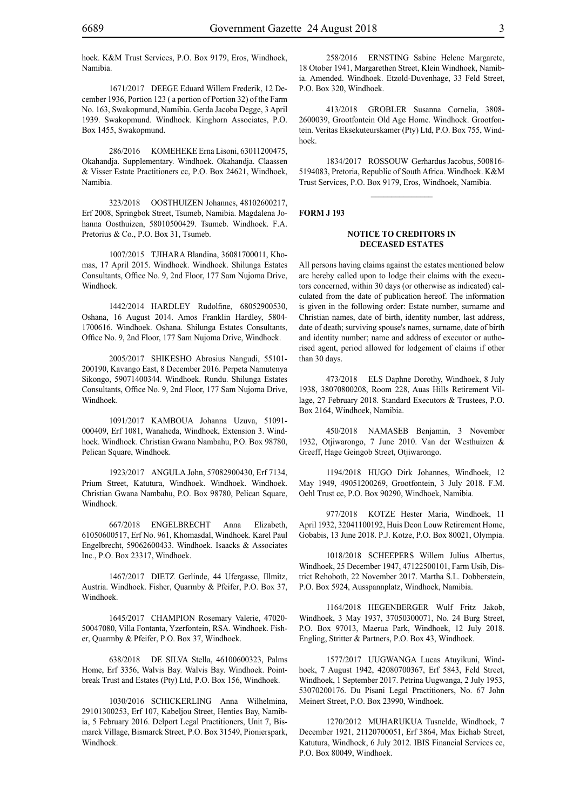1671/2017 DEEGE Eduard Willem Frederik, 12 December 1936, Portion 123 ( a portion of Portion 32) of the Farm No. 163, Swakopmund, Namibia. Gerda Jacoba Degge, 3 April 1939. Swakopmund. Windhoek. Kinghorn Associates, P.O. Box 1455, Swakopmund.

286/2016 KOMEHEKE Erna Lisoni, 63011200475, Okahandja. Supplementary. Windhoek. Okahandja. Claassen & Visser Estate Practitioners cc, P.O. Box 24621, Windhoek, Namibia.

323/2018 OOSTHUIZEN Johannes, 48102600217, Erf 2008, Springbok Street, Tsumeb, Namibia. Magdalena Johanna Oosthuizen, 58010500429. Tsumeb. Windhoek. F.A. Pretorius & Co., P.O. Box 31, Tsumeb.

1007/2015 TJIHARA Blandina, 36081700011, Khomas, 17 April 2015. Windhoek. Windhoek. Shilunga Estates Consultants, Office No. 9, 2nd Floor, 177 Sam Nujoma Drive, Windhoek.

1442/2014 HARDLEY Rudolfine, 68052900530, Oshana, 16 August 2014. Amos Franklin Hardley, 5804- 1700616. Windhoek. Oshana. Shilunga Estates Consultants, Office No. 9, 2nd Floor, 177 Sam Nujoma Drive, Windhoek.

2005/2017 SHIKESHO Abrosius Nangudi, 55101- 200190, Kavango East, 8 December 2016. Perpeta Namutenya Sikongo, 59071400344. Windhoek. Rundu. Shilunga Estates Consultants, Office No. 9, 2nd Floor, 177 Sam Nujoma Drive, Windhoek.

1091/2017 KAMBOUA Johanna Uzuva, 51091- 000409, Erf 1081, Wanaheda, Windhoek, Extension 3. Windhoek. Windhoek. Christian Gwana Nambahu, P.O. Box 98780, Pelican Square, Windhoek.

1923/2017 ANGULA John, 57082900430, Erf 7134, Prium Street, Katutura, Windhoek. Windhoek. Windhoek. Christian Gwana Nambahu, P.O. Box 98780, Pelican Square, Windhoek.

667/2018 ENGELBRECHT Anna Elizabeth, 61050600517, Erf No. 961, Khomasdal, Windhoek. Karel Paul Engelbrecht, 59062600433. Windhoek. Isaacks & Associates Inc., P.O. Box 23317, Windhoek.

1467/2017 DIETZ Gerlinde, 44 Ufergasse, Illmitz, Austria. Windhoek. Fisher, Quarmby & Pfeifer, P.O. Box 37, Windhoek.

1645/2017 CHAMPION Rosemary Valerie, 47020- 50047080, Villa Fontanta, Yzerfontein, RSA. Windhoek. Fisher, Quarmby & Pfeifer, P.O. Box 37, Windhoek.

638/2018 DE SILVA Stella, 46100600323, Palms Home, Erf 3356, Walvis Bay. Walvis Bay. Windhoek. Pointbreak Trust and Estates (Pty) Ltd, P.O. Box 156, Windhoek.

1030/2016 Schickerling Anna Wilhelmina, 29101300253, Erf 107, Kabeljou Street, Henties Bay, Namibia, 5 February 2016. Delport Legal Practitioners, Unit 7, Bismarck Village, Bismarck Street, P.O. Box 31549, Pionierspark, Windhoek.

258/2016 ERNSTING Sabine Helene Margarete, 18 Otober 1941, Margarethen Street, Klein Windhoek, Namibia. Amended. Windhoek. Etzold-Duvenhage, 33 Feld Street, P.O. Box 320, Windhoek.

413/2018 GROBLER Susanna Cornelia, 3808- 2600039, Grootfontein Old Age Home. Windhoek. Grootfontein. Veritas Eksekuteurskamer (Pty) Ltd, P.O. Box 755, Windhoek.

1834/2017 ROSSOUW Gerhardus Jacobus, 500816- 5194083, Pretoria, Republic of South Africa. Windhoek. K&M Trust Services, p.o. Box 9179, Eros, Windhoek, Namibia.

 $\overline{\phantom{a}}$  ,  $\overline{\phantom{a}}$  ,  $\overline{\phantom{a}}$  ,  $\overline{\phantom{a}}$  ,  $\overline{\phantom{a}}$  ,  $\overline{\phantom{a}}$  ,  $\overline{\phantom{a}}$  ,  $\overline{\phantom{a}}$  ,  $\overline{\phantom{a}}$  ,  $\overline{\phantom{a}}$  ,  $\overline{\phantom{a}}$  ,  $\overline{\phantom{a}}$  ,  $\overline{\phantom{a}}$  ,  $\overline{\phantom{a}}$  ,  $\overline{\phantom{a}}$  ,  $\overline{\phantom{a}}$ 

#### **FORM J 193**

#### **NOTICE TO CREDITORS IN DECEASED ESTATES**

All persons having claims against the estates mentioned below are hereby called upon to lodge their claims with the executors concerned, within 30 days (or otherwise as indicated) calculated from the date of publication hereof. The information is given in the following order: Estate number, surname and Christian names, date of birth, identity number, last address, date of death; surviving spouse's names, surname, date of birth and identity number; name and address of executor or authorised agent, period allowed for lodgement of claims if other than 30 days.

473/2018 ELS Daphne Dorothy, Windhoek, 8 July 1938, 38070800208, Room 228, Auas Hills Retirement Village, 27 February 2018. Standard Executors & Trustees, P.O. Box 2164, Windhoek, Namibia.

450/2018 NAMASEB Benjamin, 3 November 1932, Otjiwarongo, 7 June 2010. Van der Westhuizen & Greeff, Hage Geingob Street, Otjiwarongo.

1194/2018 HUGO Dirk Johannes, Windhoek, 12 May 1949, 49051200269, Grootfontein, 3 July 2018. F.M. Oehl Trust cc, P.O. Box 90290, Windhoek, Namibia.

977/2018 KOTZE Hester Maria, Windhoek, 11 April 1932, 32041100192, Huis Deon Louw Retirement Home, Gobabis, 13 June 2018. P.J. Kotze, P.O. Box 80021, Olympia.

1018/2018 SCHEEPERS Willem Julius Albertus, Windhoek, 25 December 1947, 47122500101, Farm Usib, District Rehoboth, 22 November 2017. Martha S.L. Dobberstein, P.O. Box 5924, Ausspannplatz, Windhoek, Namibia.

1164/2018 HEGENBERGER Wulf Fritz Jakob, Windhoek, 3 May 1937, 37050300071, No. 24 Burg Street, P.O. Box 97013, Maerua Park, Windhoek, 12 July 2018. Engling, Stritter & Partners, P.O. Box 43, Windhoek.

1577/2017 UUGWANGA Lucas Atuyikuni, Windhoek, 7 August 1942, 42080700367, Erf 5843, Feld Street, Windhoek, 1 September 2017. Petrina Uugwanga, 2 July 1953, 53070200176. Du Pisani Legal Practitioners, No. 67 John Meinert Street, P.O. Box 23990, Windhoek.

1270/2012 MUHARUKUA Tusnelde, Windhoek, 7 December 1921, 21120700051, Erf 3864, Max Eichab Street, Katutura, Windhoek, 6 July 2012. IBIS Financial Services cc, P.O. Box 80049, Windhoek.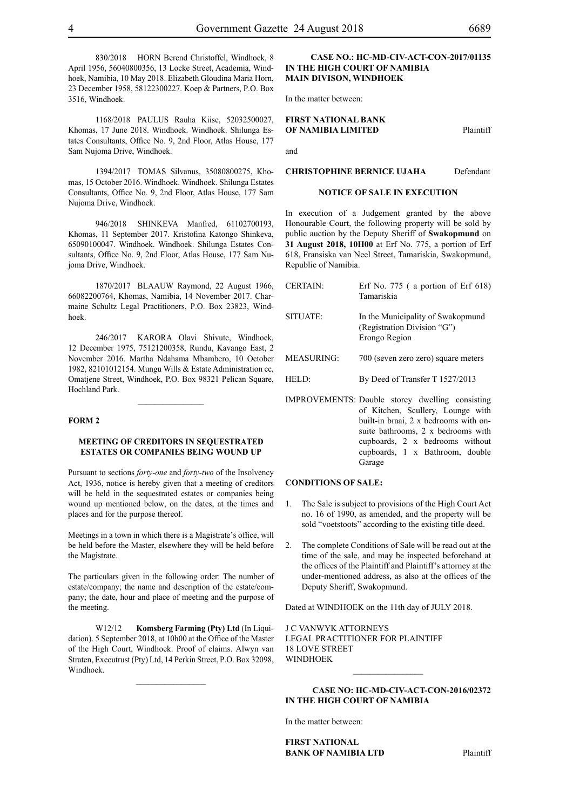830/2018 HORN Berend Christoffel, Windhoek, 8 April 1956, 56040800356, 13 Locke Street, Academia, Windhoek, Namibia, 10 May 2018. Elizabeth Gloudina Maria Horn, 23 December 1958, 58122300227. Koep & Partners, P.O. Box 3516, Windhoek.

1168/2018 PAULUS Rauha Kiise, 52032500027, Khomas, 17 June 2018. Windhoek. Windhoek. Shilunga Estates Consultants, Office No. 9, 2nd Floor, Atlas House, 177 Sam Nujoma Drive, Windhoek.

1394/2017 TOMAS Silvanus, 35080800275, Khomas, 15 October 2016. Windhoek. Windhoek. Shilunga Estates Consultants, Office No. 9, 2nd Floor, Atlas House, 177 Sam Nujoma Drive, Windhoek.

946/2018 SHINKEVA Manfred, 61102700193, Khomas, 11 September 2017. Kristofina Katongo Shinkeva, 65090100047. Windhoek. Windhoek. Shilunga Estates Consultants, Office No. 9, 2nd Floor, Atlas House, 177 Sam Nujoma Drive, Windhoek.

1870/2017 BLAAUW Raymond, 22 August 1966, 66082200764, Khomas, Namibia, 14 November 2017. Charmaine Schultz Legal Practitioners, P.O. Box 23823, Windhoek.

246/2017 KARORA Olavi Shivute, Windhoek, 12 December 1975, 75121200358, Rundu, Kavango East, 2 November 2016. Martha Ndahama Mbambero, 10 October 1982, 82101012154. Mungu Wills & Estate Administration cc, Omatjene Street, Windhoek, P.O. Box 98321 Pelican Square, Hochland Park.

 $\frac{1}{2}$ 

#### **FORM 2**

## **MEETING OF CREDITORS IN SEQUESTRATED ESTATES OR COMPANIES BEING WOUND UP**

Pursuant to sections *forty-one* and *forty-two* of the Insolvency Act, 1936, notice is hereby given that a meeting of creditors will be held in the sequestrated estates or companies being wound up mentioned below, on the dates, at the times and places and for the purpose thereof.

Meetings in a town in which there is a Magistrate's office, will be held before the Master, elsewhere they will be held before the Magistrate.

The particulars given in the following order: The number of estate/company; the name and description of the estate/company; the date, hour and place of meeting and the purpose of the meeting.

W12/12 **Komsberg Farming (Pty) Ltd** (In Liquidation). 5 September 2018, at 10h00 at the Office of the Master of the High Court, Windhoek. Proof of claims. Alwyn van Straten, Executrust (Pty) Ltd, 14 Perkin Street, P.O. Box 32098, Windhoek.

 $\frac{1}{2}$ 

## **CASE NO.: HC-MD-CIV-ACT-CON-2017/01135 IN THE HIGH COURT OF NAMIBIA MAIN DIVISON, WINDHOEK**

In the matter between:

## **FIRST NATIONAL BANK OF NAMIBIA LIMITED** Plaintiff

and

## **CHRISTOPHINE BERNICE UJAHA** Defendant

#### **NOTICE OF SALE IN EXECUTION**

In execution of a Judgement granted by the above Honourable Court, the following property will be sold by public auction by the Deputy Sheriff of **Swakopmund** on **31 August 2018, 10H00** at Erf No. 775, a portion of Erf 618, Fransiska van Neel Street, Tamariskia, Swakopmund, Republic of Namibia.

- CERTAIN: Erf No. 775 ( a portion of Erf 618) Tamariskia SITUATE: In the Municipality of Swakopmund (Registration Division "G") Erongo Region MEASURING: 700 (seven zero zero) square meters HELD: By Deed of Transfer T 1527/2013
- IMPROVEMENTS: Double storey dwelling consisting of Kitchen, Scullery, Lounge with built-in braai, 2 x bedrooms with onsuite bathrooms, 2 x bedrooms with cupboards, 2 x bedrooms without cupboards, 1 x Bathroom, double Garage

#### **CONDITIONS OF SALE:**

- 1. The Sale is subject to provisions of the High Court Act no. 16 of 1990, as amended, and the property will be sold "voetstoots" according to the existing title deed.
- 2. The complete Conditions of Sale will be read out at the time of the sale, and may be inspected beforehand at the offices of the Plaintiff and Plaintiff's attorney at the under-mentioned address, as also at the offices of the Deputy Sheriff, Swakopmund.

Dated at WINDHOEK on the 11th day of JULY 2018.

J C VANWYK ATTORNEYS Legal Practitioner for Plaintiff 18 LOVE STREET WINDHOEK

## **CASE NO: HC-MD-CIV-ACT-CON-2016/02372 IN THE HIGH COURT OF NAMIBIA**

In the matter between:

**FIRST NATIONAL BANK OF NAMIBIA LTD** Plaintiff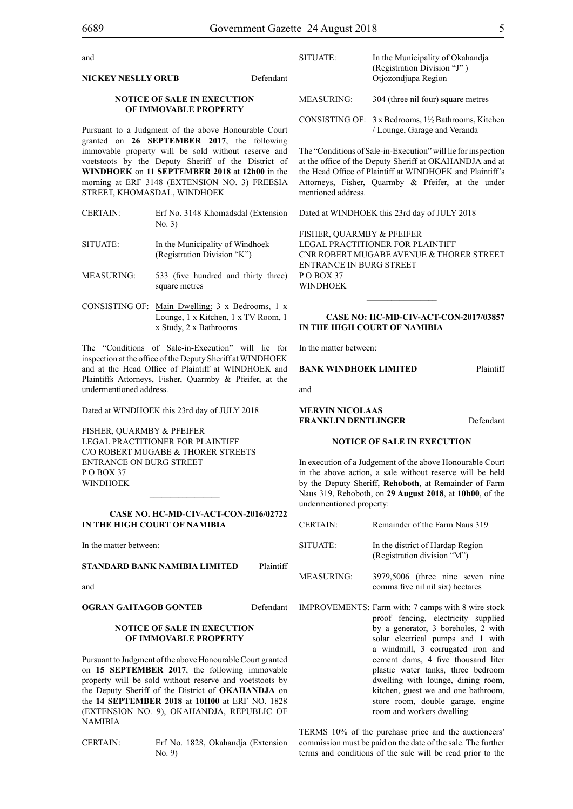and

| (Registration Division "J")<br>Otjozondjupa Region<br>Defendant                                                                                                                                              |  |
|--------------------------------------------------------------------------------------------------------------------------------------------------------------------------------------------------------------|--|
| <b>MEASURING:</b><br>304 (three nil four) square metres                                                                                                                                                      |  |
| CONSISTING OF: $3 \times$ Bedrooms, $1\frac{1}{2}$ Bathrooms, Kitchen<br>/ Lounge, Garage and Veranda<br>Pursuant to a Judgment of the above Honourable Court<br>granted on 26 SEPTEMBER 2017, the following |  |
| The "Conditions of Sale-in-Execution" will lie for inspection<br>at the office of the Deputy Sheriff at OKAHANDJA and at<br>the Head Office of Plaintiff at WINDHOEK and Plaintiff's                         |  |
| morning at ERF 3148 (EXTENSION NO. 3) FREESIA<br>Attorneys, Fisher, Quarmby & Pfeifer, at the under<br>mentioned address.                                                                                    |  |
| Dated at WINDHOEK this 23rd day of JULY 2018<br>Erf No. 3148 Khomadsdal (Extension<br>EICHED OILADMDV & DEEIEED                                                                                              |  |
| immovable property will be sold without reserve and<br>voetstoots by the Deputy Sheriff of the District of<br><b>WINDHOEK</b> on 11 <b>SEPTEMBER</b> 2018 at 12h00 in the                                    |  |

FISHER, QUARMBY & PFEIFER LEGAL PRACTITIONER FOR Plaintiff Cnr Robert Mugabe Avenue & Thorer Street Entrance in Burg Street PO BOX 37 WINDHOEK

SITUATE: In the Municipality of Okahandja

## **CASE NO: HC-MD-CIV-ACT-CON-2017/03857 IN THE HIGH COURT OF NAMIBIA**

 $\frac{1}{2}$ 

In the matter between:

#### **BANK WINDHOEK LIMITED** Plaintiff

and

**MERVIN NICOLAAS FRANKLIN DENTLINGER** Defendant

#### **NOTICE OF SALE IN EXECUTION**

In execution of a Judgement of the above Honourable Court in the above action, a sale without reserve will be held by the Deputy Sheriff, **Rehoboth**, at Remainder of Farm Naus 319, Rehoboth, on **29 August 2018**, at **10h00**, of the undermentioned property:

| <b>CERTAIN:</b>   | Remainder of the Farm Naus 319                                                                                                                                                                                                                                                                                                                                                                                                        |
|-------------------|---------------------------------------------------------------------------------------------------------------------------------------------------------------------------------------------------------------------------------------------------------------------------------------------------------------------------------------------------------------------------------------------------------------------------------------|
| SITUATE:          | In the district of Hardap Region<br>(Registration division "M")                                                                                                                                                                                                                                                                                                                                                                       |
| <b>MEASURING:</b> | 3979,5006 (three nine seven nine<br>comma five nil nil six) hectares                                                                                                                                                                                                                                                                                                                                                                  |
|                   | IMPROVEMENTS: Farm with: 7 camps with 8 wire stock<br>proof fencing, electricity supplied<br>by a generator, 3 boreholes, 2 with<br>solar electrical pumps and 1 with<br>a windmill, 3 corrugated iron and<br>cement dams, 4 five thousand liter<br>plastic water tanks, three bedroom<br>dwelling with lounge, dining room,<br>kitchen, guest we and one bathroom,<br>store room, double garage, engine<br>room and workers dwelling |

TERMS 10% of the purchase price and the auctioneers' commission must be paid on the date of the sale. The further terms and conditions of the sale will be read prior to the

- 
- SITUATE: In the Municipality of Windhoek (Registration Division "K")
- MEASURING: 533 (five hundred and thirty three) square metres
- CONSISTING OF: Main Dwelling: 3 x Bedrooms, 1 x Lounge, 1 x Kitchen, 1 x TV Room, 1 x Study, 2 x Bathrooms

The "Conditions of Sale-in-Execution" will lie for inspection at the office of the Deputy Sheriff at WINDHOEK and at the Head Office of Plaintiff at WINDHOEK and Plaintiffs Attorneys, Fisher, Quarmby & Pfeifer, at the undermentioned address.

Dated at WINDHOEK this 23rd day of JULY 2018

FISHER, QUARMBY & PFEIFER LEGAL PRACTITIONER FOR Plaintiff c/o Robert Mugabe & Thorer Streets entrance on Burg Street PO BOX 37 WINDHOEK

## **CASE No. HC-MD-CIV-ACT-CON-2016/02722 IN THE HIGH COURT OF NAMIBIA**

 $\frac{1}{2}$ 

In the matter between:

## **STANDARD BANK NAMIBIA LIMITED** Plaintiff

and

## **OGRAN GAITAGOB GONTEB** Defendant

### **NOTICE OF SALE IN EXECUTION OF IMMOVABLE PROPERTY**

Pursuant to Judgment of the above Honourable Court granted on **15 SEPTEMBER 2017**, the following immovable property will be sold without reserve and voetstoots by the Deputy Sheriff of the District of **OKAHANDJA** on the **14 SEPTEMBER 2018** at **10H00** at ERF NO. 1828 (EXTENSION NO. 9), OKAHANDJA, REPUBLIC OF NAMIBIA

CERTAIN: Erf No. 1828, Okahandja (Extension No. 9)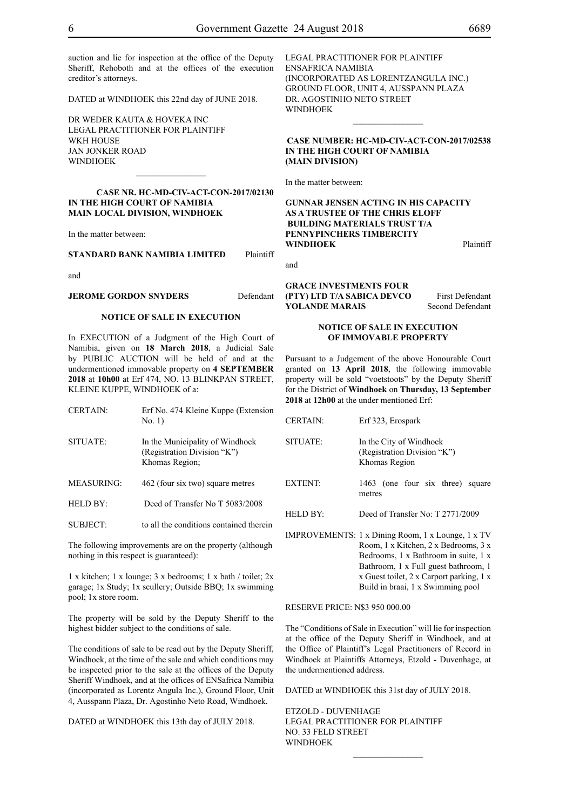auction and lie for inspection at the office of the Deputy Sheriff, Rehoboth and at the offices of the execution creditor's attorneys.

DATED at WINDHOEK this 22nd day of JUNE 2018.

DR WEDER KAUTA & HOVEKA INC Legal Practitioner for Plaintiff WKH HOUSE Jan Jonker Road WINDHOEK

#### **Case Nr. HC-MD-CIV-ACT-CON-2017/02130 IN THE HIGH COURT OF NAMIBIA MAIN LOCAL DIVISION, WINDHOEK**

 $\frac{1}{2}$ 

In the matter between:

**STANDARD BANK NAMIBIA LIMITED** Plaintiff

and

#### **JEROME GORDON SNYDERS** Defendant

#### **NOTICE OF SALE IN EXECUTION**

In EXECUTION of a Judgment of the High Court of Namibia, given on **18 March 2018**, a Judicial Sale by PUBLIC AUCTION will be held of and at the undermentioned immovable property on **4 SEPTEMBER 2018** at **10h00** at Erf 474, NO. 13 BLINKPAN STREET, KLEINE KUPPE, WINDHOEK of a:

| <b>CERTAIN:</b> | Erf No. 474 Kleine Kuppe (Extension<br>No. 1)                                    |
|-----------------|----------------------------------------------------------------------------------|
| SITUATE:        | In the Municipality of Windhoek<br>(Registration Division "K")<br>Khomas Region; |
| MEASURING:      | 462 (four six two) square metres                                                 |
| HELD BY:        | Deed of Transfer No T 5083/2008                                                  |
| <b>SUBJECT:</b> | to all the conditions contained therein                                          |

The following improvements are on the property (although nothing in this respect is guaranteed):

1 x kitchen; 1 x lounge; 3 x bedrooms; 1 x bath / toilet; 2x garage; 1x Study; 1x scullery; Outside BBQ; 1x swimming pool; 1x store room.

The property will be sold by the Deputy Sheriff to the highest bidder subject to the conditions of sale.

The conditions of sale to be read out by the Deputy Sheriff, Windhoek, at the time of the sale and which conditions may be inspected prior to the sale at the offices of the Deputy Sheriff Windhoek, and at the offices of ENSafrica Namibia (incorporated as Lorentz Angula Inc.), Ground Floor, Unit 4, Ausspann Plaza, Dr. Agostinho Neto Road, Windhoek.

DATED at WINDHOEK this 13th day of JULY 2018.

Legal Practitioner for Plaintiff ENSafrica Namibia (incorporated as LorentzAngula Inc.) Ground Floor, Unit 4, Ausspann Plaza DR. AGOSTINHO NETO STREET WINDHOEK  $\frac{1}{2}$ 

## **Case Number: HC-MD-CIV-ACT-CON-2017/02538 IN THE HIGH COURT OF NAMIBIA (Main Division)**

In the matter between:

#### **GUNNAR JENSEN ACTING IN HIS CAPACITY AS A TRUSTEE OF THE CHRIS ELOFF BUILDING MATERIALS TRUST T/A PENNYPINCHERS TIMBERCITY WINDHOEK** Plaintiff

and

#### **GRACE INVESTMENTS FOUR (PTY) LTD T/A SABICA DEVCO** First Defendant **YOLANDE MARAIS** Second Defendant

#### **NOTICE OF SALE IN EXECUTION OF IMMOVABLE PROPERTY**

Pursuant to a Judgement of the above Honourable Court granted on **13 April 2018**, the following immovable property will be sold "voetstoots" by the Deputy Sheriff for the District of **Windhoek** on **Thursday, 13 September 2018** at **12h00** at the under mentioned Erf:

| <b>CERTAIN</b> | Erf 323, Erospark                                                       |
|----------------|-------------------------------------------------------------------------|
| SITUATE:       | In the City of Windhoek<br>(Registration Division "K")<br>Khomas Region |
| <b>EXTENT</b>  | 1463 (one four six three) square<br>metres                              |
| HELD BY:       | Deed of Transfer No: $T$ 2771/2009                                      |

IMPROVEMENTS: 1 x Dining Room, 1 x Lounge, 1 x TV Room, 1 x Kitchen, 2 x Bedrooms, 3 x Bedrooms, 1 x Bathroom in suite, 1 x Bathroom, 1 x Full guest bathroom, 1 x Guest toilet, 2 x Carport parking, 1 x Build in braai, 1 x Swimming pool

RESERVE PRICE: N\$3 950 000.00

The "Conditions of Sale in Execution" will lie for inspection at the office of the Deputy Sheriff in Windhoek, and at the Office of Plaintiff's Legal Practitioners of Record in Windhoek at Plaintiffs Attorneys, Etzold - Duvenhage, at the undermentioned address.

 $\frac{1}{2}$ 

DATED at WINDHOEK this 31st day of JULY 2018.

ETZOLD - DUVENHAGE LEGAL PRACTITIONER FOR PLAINTIFF NO. 33 FELD STREET WINDHOEK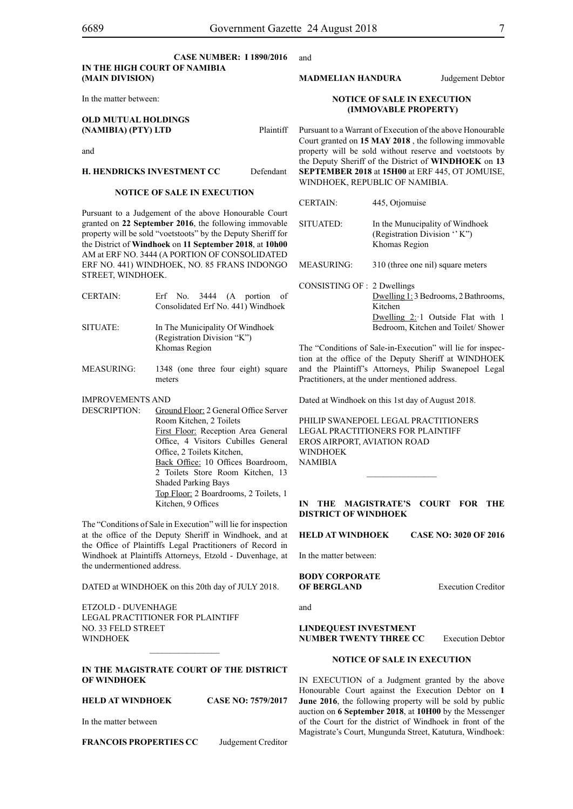and

## **CASE NUMBER: I 1890/2016 IN THE HIGH COURT OF NAMIBIA (Main Division)**

In the matter between:

## **OLD MUTUAL HOLDINGS (NAMIBIA) (PTY) LTD** Plaintiff

and

## **H. HENDRICKS INVESTMENT CC** Defendant

## **NOTICE OF SALE IN EXECUTION**

Pursuant to a Judgement of the above Honourable Court granted on **22 September 2016**, the following immovable property will be sold "voetstoots" by the Deputy Sheriff for the District of **Windhoek** on **11 September 2018**, at **10h00**  AM at ERF NO. 3444 (A PORTION OF CONSOLIDATED ERF NO. 441) WINDHOEK, NO. 85 FRANS INDONGO STREET, WINDHOEK.

- CERTAIN: Erf No. 3444 (A portion of Consolidated Erf No. 441) Windhoek SITUATE: In The Municipality Of Windhoek (Registration Division "K")
- MEASURING: 1348 (one three four eight) square meters

Khomas Region

#### IMPROVEMENTS AND

DESCRIPTION: Ground Floor: 2 General Office Server Room Kitchen, 2 Toilets First Floor: Reception Area General Office, 4 Visitors Cubilles General Office, 2 Toilets Kitchen, Back Office: 10 Offices Boardroom, 2 Toilets Store Room Kitchen, 13 Shaded Parking Bays Top Floor: 2 Boardrooms, 2 Toilets, 1 Kitchen, 9 Offices

The "Conditions of Sale in Execution" will lie for inspection at the office of the Deputy Sheriff in Windhoek, and at the Office of Plaintiffs Legal Practitioners of Record in Windhoek at Plaintiffs Attorneys, Etzold - Duvenhage, at the undermentioned address.

DATED at WINDHOEK on this 20th day of JULY 2018.

ETZOLD - DUVENHAGE LEGAL PRACTITIONER FOR PLAINTIFF NO. 33 FELD STREET **WINDHOEK** 

## **IN THE MAGISTRATE COURT OF THE DISTRICT OF WINDHOEK**

 $\frac{1}{2}$ 

**HELD AT WINDHOEK CASE NO: 7579/2017**

In the matter between

**FRANCOIS PROPERTIES CC** Judgement Creditor

#### **MADMELIAN HANDURA** Judgement Debtor

#### **NOTICE OF SALE IN EXECUTION (IMMOVABLE PROPERTY)**

Pursuant to a Warrant of Execution of the above Honourable Court granted on **15 MAY 2018** , the following immovable property will be sold without reserve and voetstoots by the Deputy Sheriff of the District of **WINDHOEK** on **13 SEPTEMBER 2018** at **15H00** at ERF 445, OT JOMUISE, WINDHOEK, REPUBLIC OF NAMIBIA.

| <b>CERTAIN:</b>                                                                                                                                                            | 445, Otjomuise                                                                                                            |  |
|----------------------------------------------------------------------------------------------------------------------------------------------------------------------------|---------------------------------------------------------------------------------------------------------------------------|--|
| SITUATED:                                                                                                                                                                  | In the Munucipality of Windhoek<br>(Registration Division "K")<br>Khomas Region                                           |  |
| <b>MEASURING:</b>                                                                                                                                                          | 310 (three one nil) square meters                                                                                         |  |
| CONSISTING OF : 2 Dwellings                                                                                                                                                | Dwelling 1:3 Bedrooms, 2 Bathrooms,<br>Kitchen<br>Dwelling 2: 1 Outside Flat with 1<br>Bedroom, Kitchen and Toilet/Shower |  |
| The "Conditions of Sale-in-Execution" will lie for inspec-<br>tion at the office of the Deputy Sheriff at WINDHOEK<br>and the Plaintiff's Attorneys Philin Swanenoel Legal |                                                                                                                           |  |

and the Plaintiff's Attorneys, Philip Swanepoel Legal Practitioners, at the under mentioned address.

Dated at Windhoek on this 1st day of August 2018.

PHILIP SWANEPOEL LEGAL PRACTITIONERS LEGAL PRACTITIONERS FOR Plaintiff EROS AIRPORT, AVIATION ROAD **WINDHOFK** NAMIBIA

## **IN THE MAGISTRATE'S COURT FOR THE DISTRICT OF WINDHOEK**

 $\frac{1}{2}$ 

**HELD AT WINDHOEK CASE NO: 3020 OF 2016**

In the matter between:

**BODY CORPORATE OF BERGLAND** Execution Creditor

and

**LINDEQUEST INVESTMENT NUMBER TWENTY THREE CC** Execution Debtor

## **NOTICE OF SALE IN EXECUTION**

IN EXECUTION of a Judgment granted by the above Honourable Court against the Execution Debtor on **1 June 2016**, the following property will be sold by public auction on **6 September 2018**, at **10H00** by the Messenger of the Court for the district of Windhoek in front of the Magistrate's Court, Mungunda Street, Katutura, Windhoek: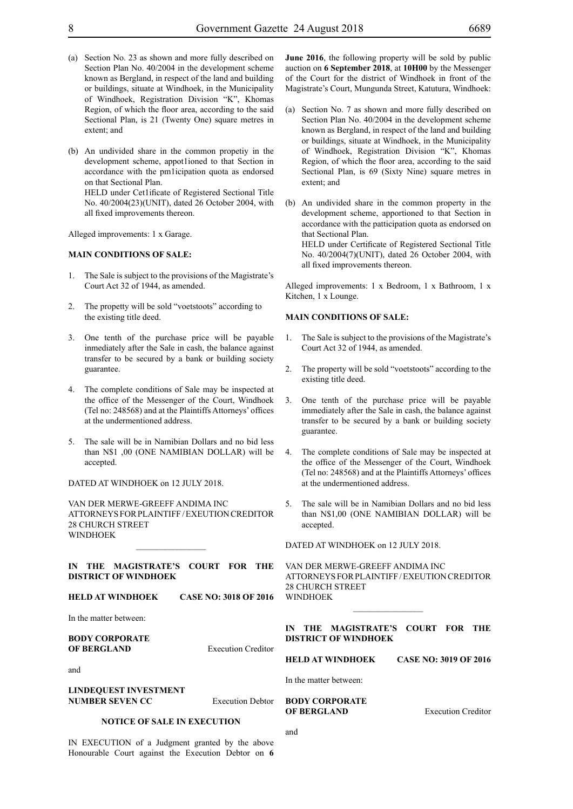- (a) Section No. 23 as shown and more fully described on Section Plan No. 40/2004 in the development scheme known as Bergland, in respect of the land and building or buildings, situate at Windhoek, in the Municipality of Windhoek, Registration Division "K", Khomas Region, of which the floor area, according to the said Sectional Plan, is 21 (Twenty One) square metres in extent; and
- (b) An undivided share in the common propetiy in the development scheme, appot1ioned to that Section in accordance with the pm1icipation quota as endorsed on that Sectional Plan. HELD under Cet1ificate of Registered Sectional Title No. 40/2004(23)(UNIT), dated 26 October 2004, with all fixed improvements thereon.

Alleged improvements: 1 x Garage.

#### **MAIN CONDITIONS OF SALE:**

- 1. The Sale is subject to the provisions of the Magistrate's Court Act 32 of 1944, as amended.
- 2. The propetty will be sold "voetstoots" according to the existing title deed.
- 3. One tenth of the purchase price will be payable inmediately after the Sale in cash, the balance against transfer to be secured by a bank or building society guarantee.
- 4. The complete conditions of Sale may be inspected at the office of the Messenger of the Court, Windhoek (Tel no: 248568) and at the Plaintiffs Attorneys' offices at the undermentioned address.
- 5. The sale will be in Namibian Dollars and no bid less than N\$1 ,00 (ONE NAMIBIAN DOLLAR) will be accepted.

DATED AT WINDHOEK on 12 JULY 2018.

VAN DER MERWE-GREEFF ANDIMA INC ATTORNEYS FOR Plaintiff / EXEUTION CREDITOR 28 CHURCH STREET WINDHOEK

**IN THE MAGISTRATE'S COURT FOR THE DISTRICT OF WINDHOEK** 

 $\frac{1}{2}$ 

**HELD AT WINDHOEK CASE NO: 3018 OF 2016**

In the matter between:

and

**June 2016**, the following property will be sold by public auction on **6 September 2018**, at **10H00** by the Messenger of the Court for the district of Windhoek in front of the Magistrate's Court, Mungunda Street, Katutura, Windhoek:

- (a) Section No. 7 as shown and more fully described on Section Plan No. 40/2004 in the development scheme known as Bergland, in respect of the land and building or buildings, situate at Windhoek, in the Municipality of Windhoek, Registration Division "K", Khomas Region, of which the floor area, according to the said Sectional Plan, is 69 (Sixty Nine) square metres in extent; and
- (b) An undivided share in the common property in the development scheme, apportioned to that Section in accordance with the patticipation quota as endorsed on that Sectional Plan. HELD under Certificate of Registered Sectional Title No. 40/2004(7)(UNIT), dated 26 October 2004, with all fixed improvements thereon.

Alleged improvements: 1 x Bedroom, 1 x Bathroom, 1 x Kitchen, 1 x Lounge.

#### **MAIN CONDITIONS OF SALE:**

- 1. The Sale is subject to the provisions of the Magistrate's Court Act 32 of 1944, as amended.
- 2. The property will be sold "voetstoots" according to the existing title deed.
- 3. One tenth of the purchase price will be payable immediately after the Sale in cash, the balance against transfer to be secured by a bank or building society guarantee.
- 4. The complete conditions of Sale may be inspected at the office of the Messenger of the Court, Windhoek (Tel no: 248568) and at the Plaintiffs Attorneys' offices at the undermentioned address.
- 5. The sale will be in Namibian Dollars and no bid less than N\$1,00 (ONE NAMIBIAN DOLLAR) will be accepted.

DATED AT WINDHOEK on 12 JULY 2018.

VAN DER MERWE-GREEFF ANDIMA INC ATTORNEYS FOR Plaintiff / EXEUTION CREDITOR 28 CHURCH STREET WINDHOEK

 $\frac{1}{2}$ 

| <b>BODY CORPORATE</b>                           |                           | <b>DISTRICT OF WINDHOEK</b>                 | THE MAGISTRATE'S COURT FOR THE |
|-------------------------------------------------|---------------------------|---------------------------------------------|--------------------------------|
| OF BERGLAND                                     | <b>Execution Creditor</b> | <b>HELD AT WINDHOEK</b>                     | <b>CASE NO: 3019 OF 2016</b>   |
| and                                             |                           | In the matter between:                      |                                |
| <b>LINDEOUEST INVESTMENT</b><br>NUMBER SEVEN CC | <b>Execution Debtor</b>   | <b>BODY CORPORATE</b><br><b>OF BERGLAND</b> | <b>Execution Creditor</b>      |
| <b>NOTICE OF SALE IN EXECUTION</b>              |                           |                                             |                                |

and

IN EXECUTION of a Judgment granted by the above Honourable Court against the Execution Debtor on **6**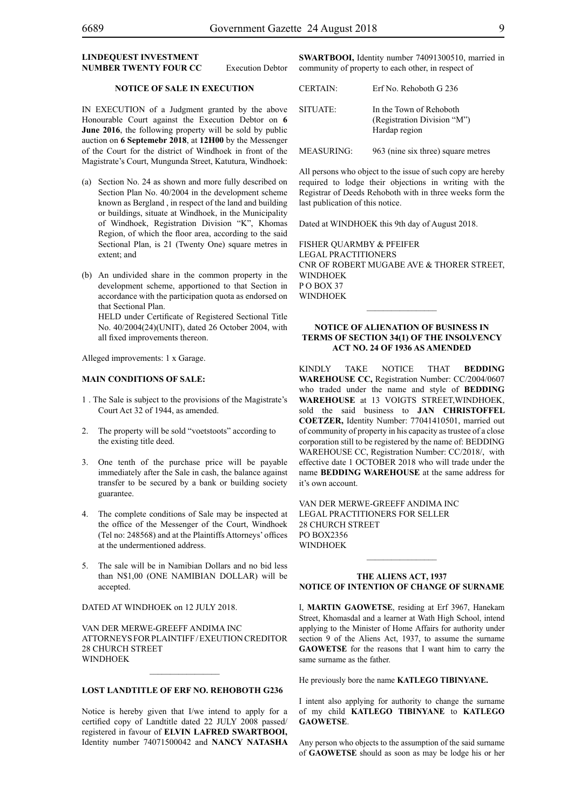#### **LINDEQUEST INVESTMENT NUMBER TWENTY FOUR CC** Execution Debtor

**SWARTBOOI,** Identity number 74091300510, married in community of property to each other, in respect of

|                   | <b>CERTAIN:</b> | Erf No. Rehoboth G 236                                                  |
|-------------------|-----------------|-------------------------------------------------------------------------|
| e<br>6<br>c<br>.r | SITUATE:        | In the Town of Rehoboth<br>(Registration Division "M")<br>Hardap region |

MEASURING: 963 (nine six three) square metres

All persons who object to the issue of such copy are hereby required to lodge their objections in writing with the Registrar of Deeds Rehoboth with in three weeks form the last publication of this notice.

Dated at WINDHOEK this 9th day of August 2018.

FISHER QUARMBY & PFEIFER Legal Practitioners Cnr of Robert Mugabe Ave & Thorer Street, **WINDHOEK** P O Box 37 WINDHOEK

#### **NOTICE OF ALIENATION OF BUSINESS IN TERMS OF SECTION 34(1) OF THE INSOLVENCY ACT NO. 24 OF 1936 AS AMENDED**

KINDLY TAKE NOTICE THAT **BEDDING WAREHOUSE CC,** Registration Number: CC/2004/0607 who traded under the name and style of **BEDDING WAREHOUSE** at 13 VOIGTS STREET,WINDHOEK, sold the said business to **JAN CHRISTOFFEL COETZER,** Identity Number: 77041410501, married out of community of property in his capacity as trustee of a close corporation still to be registered by the name of: BEDDING WAREHOUSE CC, Registration Number: CC/2018/, with effective date 1 OCTOBER 2018 who will trade under the name **BEDDING WAREHOUSE** at the same address for it's own account.

VAN DER MERWE-GREEFF ANDIMA INC LEGAL PRACTITIONERS FOR SELLER 28 CHURCH STREET PO Box2356 WINDHOEK

#### **THE ALIENS ACT, 1937 NOTICE OF INTENTION OF CHANGE OF SURNAME**

 $\frac{1}{2}$ 

I, **martin gaowetse**, residing at Erf 3967, Hanekam Street, Khomasdal and a learner at Wath High School, intend applying to the Minister of Home Affairs for authority under section 9 of the Aliens Act, 1937, to assume the surname GAOWETSE for the reasons that I want him to carry the same surname as the father.

He previously bore the name **katlego tibinyane.**

I intent also applying for authority to change the surname of my child **katlego tibinyane** to **KATLEGO GAOWETSE**.

Any person who objects to the assumption of the said surname of **gaowetse** should as soon as may be lodge his or her

**NOTICE OF SALE IN EXECUTION**

IN EXECUTION of a Judgment granted by the above Honourable Court against the Execution Debtor on June 2016, the following property will be sold by public auction on **6 Septemebr 2018**, at **12H00** by the Messenger of the Court for the district of Windhoek in front of the Magistrate's Court, Mungunda Street, Katutura, Windhoek:

- (a) Section No. 24 as shown and more fully described on Section Plan No. 40/2004 in the development scheme known as Bergland , in respect of the land and building or buildings, situate at Windhoek, in the Municipality of Windhoek, Registration Division "K", Khomas Region, of which the floor area, according to the said Sectional Plan, is 21 (Twenty One) square metres in extent; and
- (b) An undivided share in the common property in the development scheme, apportioned to that Section in accordance with the participation quota as endorsed on that Sectional Plan.

HELD under Certificate of Registered Sectional Title No. 40/2004(24)(UNIT), dated 26 October 2004, with all fixed improvements thereon.

Alleged improvements: 1 x Garage.

## **MAIN CONDITIONS OF SALE:**

- 1 . The Sale is subject to the provisions of the Magistrate's Court Act 32 of 1944, as amended.
- 2. The property will be sold "voetstoots" according to the existing title deed.
- 3. One tenth of the purchase price will be payable immediately after the Sale in cash, the balance against transfer to be secured by a bank or building society guarantee.
- 4. The complete conditions of Sale may be inspected at the office of the Messenger of the Court, Windhoek (Tel no: 248568) and at the Plaintiffs Attorneys' offices at the undermentioned address.
- 5. The sale will be in Namibian Dollars and no bid less than N\$1,00 (ONE NAMIBIAN DOLLAR) will be accepted.

DATED AT WINDHOEK on 12 JULY 2018.

VAN DER MERWE-GREEFF ANDIMA INC ATTORNEYS FOR Plaintiff / EXEUTION CREDITOR 28 CHURCH STREET **WINDHOFK** 

## **LOST LANDTITLE OF ERF NO. REHOBOTH G236**

Notice is hereby given that I/we intend to apply for a certified copy of Landtitle dated 22 JULY 2008 passed/ registered in favour of **ELVIN LAFRED SWARTBOOI,** Identity number 74071500042 and **NANCY NATASHA**